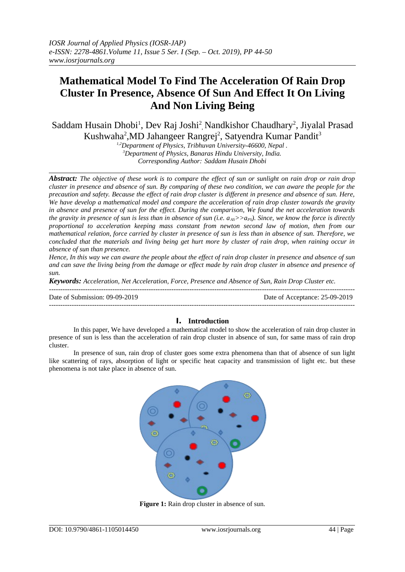# **Mathematical Model To Find The Acceleration Of Rain Drop Cluster In Presence, Absence Of Sun And Effect It On Living And Non Living Being**

Saddam Husain Dhobi<sup>1</sup>, Dev Raj Joshi<sup>2</sup>, Nandkishor Chaudhary<sup>2</sup>, Jiyalal Prasad Kushwaha<sup>2</sup>,MD Jahangeer Rangrej<sup>2</sup>, Satyendra Kumar Pandit<sup>3</sup>

*1,2Department of Physics, Tribhuvan University-46600, Nepal . <sup>3</sup>Department of Physics, Banaras Hindu University, India. Corresponding Author: Saddam Husain Dhobi*

*Abstract: The objective of these work is to compare the effect of sun or sunlight on rain drop or rain drop cluster in presence and absence of sun. By comparing of these two condition, we can aware the people for the precaution and safety. Because the effect of rain drop cluster is different in presence and absence of sun. Here, We have develop a mathematical model and compare the acceleration of rain drop cluster towards the gravity in absence and presence of sun for the effect. During the comparison, We found the net acceleration towards the gravity in presence of sun is less than in absence of sun (i.e.*  $a_{AS}$ *>>* $a_{PS}$ *). Since, we know the force is directly proportional to acceleration keeping mass constant from newton second law of motion, then from our mathematical relation, force carried by cluster in presence of sun is less than in absence of sun. Therefore, we concluded that the materials and living being get hurt more by cluster of rain drop, when raining occur in absence of sun than presence.* 

*Hence, In this way we can aware the people about the effect of rain drop cluster in presence and absence of sun and can save the living being from the damage or effect made by rain drop cluster in absence and presence of sun.*

*Keywords: Acceleration, Net Acceleration, Force, Presence and Absence of Sun, Rain Drop Cluster etc.*

| Date of Submission: 09-09-2019 | Date of Acceptance: 25-09-2019 |
|--------------------------------|--------------------------------|
|                                |                                |

## **I. Introduction**

In this paper, We have developed a mathematical model to show the acceleration of rain drop cluster in presence of sun is less than the acceleration of rain drop cluster in absence of sun, for same mass of rain drop cluster.

In presence of sun, rain drop of cluster goes some extra phenomena than that of absence of sun light like scattering of rays, absorption of light or specific heat capacity and transmission of light etc. but these phenomena is not take place in absence of sun.



**Figure 1:** Rain drop cluster in absence of sun.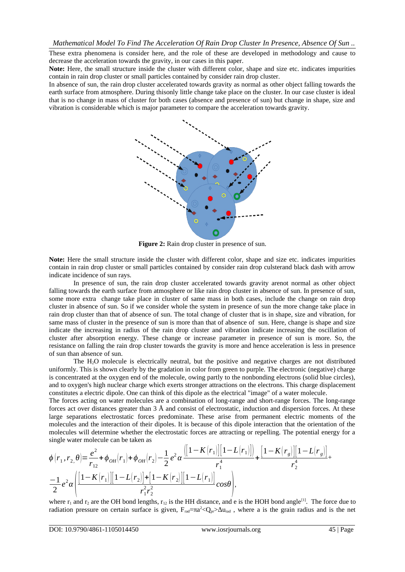These extra phenomena is consider here, and the role of these are developed in methodology and cause to decrease the acceleration towards the gravity, in our cases in this paper.

**Note:** Here, the small structure inside the cluster with different color, shape and size etc. indicates impurities contain in rain drop cluster or small particles contained by consider rain drop cluster.

In absence of sun, the rain drop cluster accelerated towards gravity as normal as other object falling towards the earth surface from atmosphere. During thisonly little change take place on the cluster. In our case cluster is ideal that is no change in mass of cluster for both cases (absence and presence of sun) but change in shape, size and vibration is considerable which is major parameter to compare the acceleration towards gravity.



**Figure 2:** Rain drop cluster in presence of sun.

**Note:** Here the small structure inside the cluster with different color, shape and size etc. indicates impurities contain in rain drop cluster or small particles contained by consider rain drop culsterand black dash with arrow indicate incidence of sun rays.

In presence of sun, the rain drop cluster accelerated towards gravity arenot normal as other object falling towards the earth surface from atmosphere or like rain drop cluster in absence of sun. In presence of sun, some more extra change take place in cluster of same mass in both cases, include the change on rain drop cluster in absence of sun. So if we consider whole the system in presence of sun the more change take place in rain drop cluster than that of absence of sun. The total change of cluster that is in shape, size and vibration, for same mass of cluster in the presence of sun is more than that of absence of sun. Here, change is shape and size indicate the increasing in radius of the rain drop cluster and vibration indicate increasing the oscillation of cluster after absorption energy. These change or increase parameter in presence of sun is more. So, the resistance on falling the rain drop cluster towards the gravity is more and hence acceleration is less in presence of sun than absence of sun.

The H2O molecule is electrically neutral, but the positive and negative charges are not distributed uniformly. This is shown clearly by the gradation in color from green to purple. The electronic (negative) charge is concentrated at the oxygen end of the molecule, owing partly to the nonbonding electrons (solid blue circles), and to oxygen's high nuclear charge which exerts stronger attractions on the electrons. This charge displacement constitutes a electric dipole. One can think of this dipole as the electrical "image" of a water molecule.

The forces acting on water molecules are a combination of long-range and short-range forces. The long-range forces act over distances greater than 3 Å and consist of electrostatic, induction and dispersion forces. At these large separations electrostatic forces predominate. These arise from permanent electric moments of the molecules and the interaction of their dipoles. It is because of this dipole interaction that the orientation of the molecules will determine whether the electrostatic forces are attracting or repelling. The potential energy for a single water molecule can be taken as

$$
\phi(r_1, r_2, \theta) = \frac{e^2}{r_{12}} + \phi_{OH}(r_1) + \phi_{OH}(r_2) - \frac{1}{2}e^2\alpha \frac{([1 - K(r_1)][1 - L(r_1)]]}{r_1^4} + \frac{[1 - K(r_g)][1 - L(r_g)]}{r_2^4} + \frac{-1}{2}e^2\alpha \left(\frac{[1 - K(r_1)][1 - L(r_2)] + [1 - K(r_2)][1 - L(r_1)]}{r_1^2 r_2^2}\cos\theta\right),
$$

where  $r_1$  and  $r_2$  are the OH bond lengths,  $r_{12}$  is the HH distance, and e is the HOH bond angle<sup>[1]</sup>. The force due to radiation pressure on certain surface is given,  $F_{rad}=πa^2 < Q_0 r > \Delta u_{rad}$ , where a is the grain radius and is the net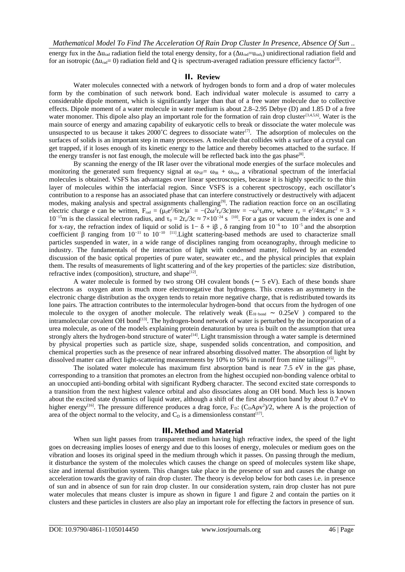energy fux in the  $\Delta u_{rad}$  radiation field the total energy density, for a  $(\Delta u_{rad}-u_{rad})$  unidirectional radiation field and for an isotropic (Δu<sub>rad</sub>= 0) radiation field and Q is spectrum-averaged radiation pressure efficiency factor<sup>[2]</sup>.

#### **II. Review**

Water molecules connected with a network of hydrogen bonds to form and a drop of water molecules form by the combination of such network bond. Each individual water molecule is assumed to carry a considerable dipole moment, which is significantly larger than that of a free water molecule due to collective effects. Dipole moment of a water molecule in water medium is about 2.8–2.95 Debye (D) and 1.85 D of a free water monomer. This dipole also play an important role for the formation of rain drop cluster<sup>[3,4,5,6]</sup>. Water is the main source of energy and amazing capability of eukaryotic cells to break or dissociate the water molecule was unsuspected to us because it takes 2000°C degrees to dissociate water<sup>[7]</sup>. The adsorption of molecules on the surfaces of solids is an important step in many processes. A molecule that collides with a surface of a crystal can get trapped, if it loses enough of its kinetic energy to the lattice and thereby becomes attached to the surface. If the energy transfer is not fast enough, the molecule will be reflected back into the gas phase<sup>[8]</sup>.

By scanning the energy of the IR laser over the vibrational mode energies of the surface molecules and monitoring the generated sum frequency signal at  $\omega_{SF} = \omega_{IR} + \omega_{vis}$ , a vibrational spectrum of the interfacial molecules is obtained. VSFS has advantages over linear spectroscopies, because it is highly specific to the thin layer of molecules within the interfacial region. Since VSFS is a coherent spectroscopy, each oscillator's contribution to a response has an associated phase that can interfere constructively or destructively with adjacent modes, making analysis and spectral assignments challenging<sup>[9]</sup>. The radiation reaction force on an oscillating electric charge e can be written, F<sub>rad</sub> = (μ<sub>0</sub>e<sup>2</sup>/6πc)a<sup>·</sup> = −(2ω<sup>2</sup>r<sub>e</sub>/3c)mv = −ω<sup>2</sup>τ<sub>0</sub>mv, where r<sub>e</sub> = e<sup>2</sup>/4πε<sub>0</sub>mc<sup>2</sup> ≈ 3 × 10<sup>-15</sup>m is the classical electron radius, and τ<sub>0</sub> = 2r<sub>e</sub>/3c ≈ 7×10<sup>-24</sup> s <sup>[10]</sup>. For a gas or vacuum the index is one and for x-ray, the refraction index of liquid or solid is  $1-\delta + i\beta$ , δ ranging from  $10^{-6}$  to  $10^{-5}$  and the absorption coefficient β ranging from  $10^{-11}$  to  $10^{-10}$  [11]. Light scattering-based methods are used to characterize small particles suspended in water, in a wide range of disciplines ranging from oceanography, through medicine to industry. The fundamentals of the interaction of light with condensed matter, followed by an extended discussion of the basic optical properties of pure water, seawater etc., and the physical principles that explain them. The results of measurements of light scattering and of the key properties of the particles: size distribution, refractive index (composition), structure, and shape<sup>[12]</sup>.

A water molecule is formed by two strong OH covalent bonds ( $\sim$  5 eV). Each of these bonds share electrons as oxygen atom is much more electronegative that hydrogens. This creates an asymmetry in the electronic charge distribution as the oxygen tends to retain more negative charge, that is redistributed towards its lone pairs. The attraction contributes to the intermolecular hydrogen-bond that occurs from the hydrogen of one molecule to the oxygen of another molecule. The relatively weak (E<sub>H-bond</sub> ~ 0.25eV ) compared to the intramolecular covalent OH bond<sup>[13]</sup>. The hydrogen-bond network of water is perturbed by the incorporation of a urea molecule, as one of the models explaining protein denaturation by urea is built on the assumption that urea strongly alters the hydrogen-bond structure of water<sup>[14]</sup>. Light transmission through a water sample is determined by physical properties such as particle size, shape, suspended solids concentration, and composition, and chemical properties such as the presence of near infrared absorbing dissolved matter. The absorption of light by dissolved matter can affect light-scattering measurements by 10% to 50% in runoff from mine tailings<sup>[15]</sup>.

The isolated water molecule has maximum first absorption band is near 7.5 eV in the gas phase, corresponding to a transition that promotes an electron from the highest occupied non-bonding valence orbital to an unoccupied anti-bonding orbital with significant Rydberg character. The second excited state corresponds to a transition from the next highest valence orbital and also dissociates along an OH bond. Much less is known about the excited state dynamics of liquid water, although a shift of the first absorption band by about 0.7 eV to higher energy<sup>[16]</sup>. The pressure difference produces a drag force,  $F_D$ : ( $C_D A \rho v^2$ )/2, where A is the projection of area of the object normal to the velocity, and  $C_D$  is a dimensionless constant<sup>[17]</sup>.

## **III.Method and Material**

When sun light passes from transparent medium having high refractive index, the speed of the light goes on decreasing implies looses of energy and due to this looses of energy, molecules or medium goes on the vibration and looses its original speed in the medium through which it passes. On passing through the medium, it disturbance the system of the molecules which causes the change on speed of molecules system like shape, size and internal distribution system. This changes take place in the presence of sun and causes the change on acceleration towards the gravity of rain drop cluster. The theory is develop below for both cases i.e. in presence of sun and in absence of sun for rain drop cluster. In our consideration system, rain drop cluster has not pure water molecules that means cluster is impure as shown in figure 1 and figure 2 and contain the parties on it clusters and these particles in clusters are also play an important role for effecting the factors in presence of sun.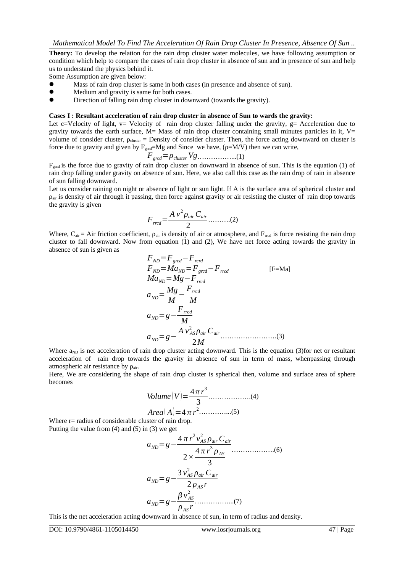**Theory:** To develop the relation for the rain drop cluster water molecules, we have following assumption or condition which help to compare the cases of rain drop cluster in absence of sun and in presence of sun and help us to understand the physics behind it.

Some Assumption are given below:

- Mass of rain drop cluster is same in both cases (in presence and absence of sun).
- Medium and gravity is same for both cases.<br>• Direction of folling rain drop cluster in dow
- Direction of falling rain drop cluster in downward (towards the gravity).

#### **Cases I : Resultant acceleration of rain drop cluster in absence of Sun to wards the gravity:**

Let c=Velocity of light,  $v=$  Velocity of rain drop cluster falling under the gravity,  $g=$  Acceleration due to gravity towards the earth surface,  $M=$  Mass of rain drop cluster containing small minutes particles in it,  $V=$ volume of consider cluster,  $\rho_{\text{cluster}}$  = Density of consider cluster. Then, the force acting downward on cluster is force due to gravity and given by  $F_{\text{gred}} = Mg$  and Since we have, ( $\rho = M/V$ ) then we can write,

$$
F_{\text{grcd}} = \rho_{\text{cluster}} V g \dots \dots \dots \dots \dots \dots (1)
$$

 $F_{\text{gred}}$  is the force due to gravity of rain drop cluster on downward in absence of sun. This is the equation (1) of rain drop falling under gravity on absence of sun. Here, we also call this case as the rain drop of rain in absence of sun falling downward.

Let us consider raining on night or absence of light or sun light. If A is the surface area of spherical cluster and  $\rho_{air}$  is density of air through it passing, then force against gravity or air resisting the cluster of rain drop towards the gravity is given

$$
F_{\text{rred}} = \frac{A v^2 \rho_{\text{air}} C_{\text{air}}}{2} \dots \dots \dots (2)
$$

Where,  $C_{air} = Air friction coefficient$ ,  $\rho_{air}$  is density of air or atmosphere, and  $F_{rred}$  is force resisting the rain drop cluster to fall downward. Now from equation (1) and (2), We have net force acting towards the gravity in absence of sun is given as

*FND*=*Fgrcd*−*Frcrd FND*=*MaND*=*Fgrcd*−*Frrcd* [F=Ma] *MaND*=*Mg*−*Frrcd aND*= *Mg M* − *Frrcd M aND*=*g*− *Frrcd M aND*=*g*− *A v AS* 2 *ρair Cair* 2*M* …………………….(3)

Where  $a_{ND}$  is net acceleration of rain drop cluster acting downward. This is the equation (3)for net or resultant acceleration of rain drop towards the gravity in absence of sun in term of mass, whenpassing through atmospheric air resistance by ρair.

Here, We are considering the shape of rain drop cluster is spherical then, volume and surface area of sphere becomes

Volume (V) = 
$$
\frac{4\pi r^3}{3}
$$
............(4)  
Area (A) =  $4\pi r^2$ ............(5)

Where  $r=$  radius of considerable cluster of rain drop. Putting the value from (4) and (5) in (3) we get

*aND*=*g*− 4 *π r* 2 *vAS* 2 *ρair Cair* 2*×* 4 *π r* 3 *ρAS* 3 ……………….(6) *aND*=*g*− 3 *vAS* 2 *ρair Cair* 2 *ρAS r aND*=*g*− *β v AS* 2 *ρAS r* ……………...(7)

This is the net acceleration acting downward in absence of sun, in term of radius and density.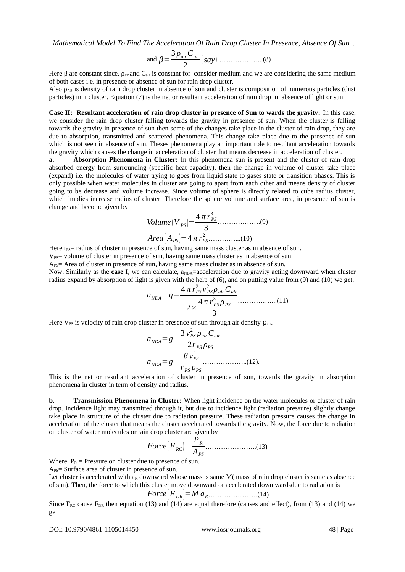*Mathematical Model To Find The Acceleration Of Rain Drop Cluster In Presence, Absence Of Sun ..*

and *β*= 3 *ρairCair* 2 (*say*)………………...(8)

Here  $\beta$  are constant since,  $\rho_{air}$  and  $C_{air}$  is constant for consider medium and we are considering the same medium of both cases i.e. in presence or absence of sun for rain drop cluster.

Also  $\rho_{AS}$  is density of rain drop cluster in absence of sun and cluster is composition of numerous particles (dust particles) in it cluster. Equation (7) is the net or resultant acceleration of rain drop in absence of light or sun.

**Case II: Resultant acceleration of rain drop cluster in presence of Sun to wards the gravity:** In this case, we consider the rain drop cluster falling towards the gravity in presence of sun. When the cluster is falling towards the gravity in presence of sun then some of the changes take place in the cluster of rain drop, they are due to absorption, transmitted and scattered phenomena. This change take place due to the presence of sun which is not seen in absence of sun. Theses phenomena play an important role to resultant acceleration towards the gravity which causes the change in acceleration of cluster that means decrease in acceleration of cluster.

**a. Absorption Phenomena in Cluster:** In this phenomena sun is present and the cluster of rain drop absorbed energy from surrounding (specific heat capacity), then the change in volume of cluster take place (expand) i.e. the molecules of water trying to goes from liquid state to gases state or transition phases. This is only possible when water molecules in cluster are going to apart from each other and means density of cluster going to be decrease and volume increase. Since volume of sphere is directly related to cube radius cluster, which implies increase radius of cluster. Therefore the sphere volume and surface area, in presence of sun is change and become given by

*Volume* (*V PS* )= 4 *π r PS* 3 3 ……………….(9) *Area*( *APS* )=4 *π rPS* <sup>2</sup> …………...(10)

Here  $r_{PS}$  radius of cluster in presence of sun, having same mass cluster as in absence of sun.

 $V_{PS}$ = volume of cluster in presence of sun, having same mass cluster as in absence of sun.

 $A_{PS}$ = Area of cluster in presence of sun, having same mass cluster as in absence of sun.

Now, Similarly as the **case I,** we can calculate,  $a_{NDA}$ =acceleration due to gravity acting downward when cluster radius expand by absorption of light is given with the help of (6), and on putting value from (9) and (10) we get,

*aNDA*=*g*− 4 *π rPS* 2 *v PS* 2 *ρ airCair* 2*×* 4 *π r PS* 3 *ρPS* 3 ……………...(11)

Here  $V_{PS}$  is velocity of rain drop cluster in presence of sun through air density  $\rho_{air}$ .

$$
a_{NDA} = g - \frac{3 v_{PS}^2 \rho_{air} C_{air}}{2 r_{PS} \rho_{PS}}
$$
  
\n
$$
a_{NDA} = g - \frac{\beta v_{PS}^2}{r_{PS} \rho_{PS}}
$$
............(12).

This is the net or resultant acceleration of cluster in presence of sun, towards the gravity in absorption phenomena in cluster in term of density and radius.

**b. Transmission Phenomena in Cluster:** When light incidence on the water molecules or cluster of rain drop. Incidence light may transmitted through it, but due to incidence light (radiation pressure) slightly change take place in structure of the cluster due to radiation pressure. These radiation pressure causes the change in acceleration of the cluster that means the cluster accelerated towards the gravity. Now, the force due to radiation on cluster of water molecules or rain drop cluster are given by

*Force*( *FRC*)= *PR APS* …………………..(13)

Where,  $P_R$  = Pressure on cluster due to presence of sun.

 $A_{PS}$ = Surface area of cluster in presence of sun.

Let cluster is accelerated with  $a_R$  downward whose mass is same M( mass of rain drop cluster is same as absence of sun). Then, the force to which this cluster move downward or accelerated down wardsdue to radiation is

$$
Force(F_{DR}) = Ma_{R} \dots (14)
$$

Since  $F_{RC}$  cause  $F_{DR}$  then equation (13) and (14) are equal therefore (causes and effect), from (13) and (14) we get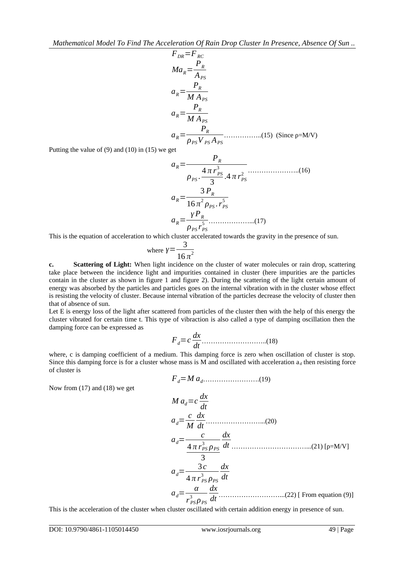$$
F_{DR} = F_{RC}
$$
  
\n
$$
Ma_R = \frac{P_R}{A_{PS}}
$$
  
\n
$$
a_R = \frac{P_R}{MA_{PS}}
$$
  
\n
$$
a_R = \frac{P_R}{MA_{PS}}
$$
  
\n
$$
a_R = \frac{P_R}{\rho_{PS} V_{PS} A_{PS}}
$$
  
\n(15) (Since p=M/V)

Putting the value of (9) and (10) in (15) we get

$$
a_R = \frac{P_R}{\rho_{PS} \cdot \frac{4\pi r_{PS}^3}{3} \cdot 4\pi r_{PS}^2}
$$
........(16)  

$$
a_R = \frac{3P_R}{16\pi^2 \rho_{PS} \cdot r_{PS}^5}
$$
  

$$
a_R = \frac{\gamma P_R}{\rho_{PS} r_{PS}^5}
$$
........(17)

This is the equation of acceleration to which cluster accelerated towards the gravity in the presence of sun.

where 
$$
\gamma = \frac{3}{16 \pi^2}
$$

**c. Scattering of Light:** When light incidence on the cluster of water molecules or rain drop, scattering take place between the incidence light and impurities contained in cluster (here impurities are the particles contain in the cluster as shown in figure 1 and figure 2). During the scattering of the light certain amount of energy was absorbed by the particles and particles goes on the internal vibration with in the cluster whose effect is resisting the velocity of cluster. Because internal vibration of the particles decrease the velocity of cluster then that of absence of sun.

Let E is energy loss of the light after scattered from particles of the cluster then with the help of this energy the cluster vibrated for certain time t. This type of vibraction is also called a type of damping oscillation then the damping force can be expressed as

*Fd*=*c dx dt* ………………………..(18)

where, c is damping coefficient of a medium. This damping force is zero when oscillation of cluster is stop. Since this damping force is for a cluster whose mass is M and oscillated with acceleration  $a_d$  then resisting force of cluster is *Fd*=*M ad*…………………….(19)

Now from (17) and (18) we get

$$
M a_d = c \frac{dx}{dt}
$$
  
\n
$$
a_d = \frac{c}{M} \frac{dx}{dt}
$$
.................(20)  
\n
$$
a_d = \frac{c}{4 \pi r_{PS}^3 \rho_{PS}} \frac{dx}{dt}
$$
.................(21) [p=M/V]  
\n
$$
a_d = \frac{3c}{4 \pi r_{PS}^3 \rho_{PS}} \frac{dx}{dt}
$$
  
\n
$$
a_d = \frac{\alpha}{r_{PS}^3 \rho_{PS}} \frac{dx}{dt}
$$
.................(22) [From equation (9)]

This is the acceleration of the cluster when cluster oscillated with certain addition energy in presence of sun.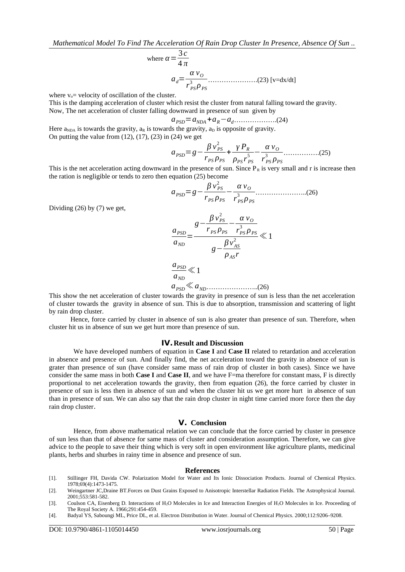where 
$$
\alpha = \frac{3c}{4\pi}
$$
  
\n
$$
a_d = \frac{\alpha v_o}{r_{PS}^3 \rho_{PS}}
$$
\n............(23) [v=dx/dt]

where  $v_0$  = velocity of oscillation of the cluster.

This is the damping acceleration of cluster which resist the cluster from natural falling toward the gravity. Now, The net acceleration of cluster falling downward in presence of sun given by

*aPSD*=*aNDA* +*aR*−*ad*……………….(24)

Here  $a_{NDA}$  is towards the gravity,  $a_R$  is towards the gravity,  $a_D$  is opposite of gravity. On putting the value from  $(12)$ ,  $(17)$ ,  $(23)$  in  $(24)$  we get

*aPSD*=*g*− *β v PS* 2 *rPS ρPS* + *γ P<sup>R</sup> ρPS r PS* <sup>5</sup> − *α v<sup>O</sup> r PS* 3 *ρPS* …………….(25)

This is the net acceleration acting downward in the presence of sun. Since  $P_R$  is very small and r is increase then the ration is negligible or tends to zero then equation (25) become

*aPSD*=*g*− *β v PS* 2 *rPS ρPS* − *α v<sup>O</sup> r PS* 3 *ρPS* …………………..(26)

Dividing (26) by (7) we get,

$$
\frac{a_{PSD}}{a_{ND}} = \frac{g - \frac{\beta v_{PS}^2}{r_{PS} \rho_{PS}} - \frac{\alpha v_O}{r_{PS}^3 \rho_{PS}}}{g - \frac{\beta v_{AS}^2}{\rho_{AS} r}} \ll 1
$$
\n
$$
\frac{a_{PSD}}{a_{ND}} \ll 1
$$
\n
$$
a_{PSD} \ll a_{ND} \tag{26}
$$

This show the net acceleration of cluster towards the gravity in presence of sun is less than the net acceleration of cluster towards the gravity in absence of sun. This is due to absorption, transmission and scattering of light by rain drop cluster.

Hence, force carried by cluster in absence of sun is also greater than presence of sun. Therefore, when cluster hit us in absence of sun we get hurt more than presence of sun.

#### **IV.Result and Discussion**

We have developed numbers of equation in **Case I** and **Case II** related to retardation and acceleration in absence and presence of sun. And finally find, the net acceleration toward the gravity in absence of sun is grater than presence of sun (have consider same mass of rain drop of cluster in both cases). Since we have consider the same mass in both **Case I** and **Case II**, and we have F=ma therefore for constant mass, F is directly proportional to net acceleration towards the gravity, then from equation (26), the force carried by cluster in presence of sun is less then in absence of sun and when the cluster hit us we get more hurt in absence of sun than in presence of sun. We can also say that the rain drop cluster in night time carried more force then the day rain drop cluster.

#### **V. Conclusion**

Hence, from above mathematical relation we can conclude that the force carried by cluster in presence of sun less than that of absence for same mass of cluster and consideration assumption. Therefore, we can give advice to the people to save their thing which is very soft in open environment like agriculture plants, medicinal plants, herbs and shurbes in rainy time in absence and presence of sun.

#### **References**

- [1]. Stillinger FH, Davida CW. Polarization Model for Water and Its Ionic Dissociation Products. Journal of Chemical Physics. 1978;69(4):1473-1475.
- [2]. Weingartner JC,Draine BT.Forces on Dust Grains Exposed to Anisotropic Interstellar Radiation Fields. The Astrophysical Journal. 2001;553:581-582.
- [3]. Coulson CA, Eisenberg D. Interactions of H<sub>2</sub>O Molecules in Ice and Interaction Energies of H<sub>2</sub>O Molecules in Ice. Proceeding of The Royal Society A. 1966;291:454-459.
- [4]. Badyal YS, Saboungi ML, Price DL, et al. Electron Distribution in Water. Journal of Chemical Physics. 2000;112:9206–9208.